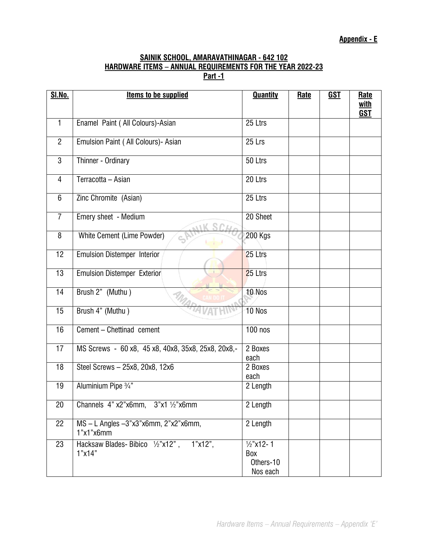## **SAINIK SCHOOL, AMARAVATHINAGAR - 642 102 HARDWARE ITEMS – ANNUAL REQUIREMENTS FOR THE YEAR 2022-23 Part -1**

| <b>SI.No.</b>   | <b>Items to be supplied</b>                             | <b>Quantity</b>                                      | <b>Rate</b> | <b>GST</b> | Rate               |
|-----------------|---------------------------------------------------------|------------------------------------------------------|-------------|------------|--------------------|
|                 |                                                         |                                                      |             |            | with<br><b>GST</b> |
| 1               | Enamel Paint ( All Colours)-Asian                       | 25 Ltrs                                              |             |            |                    |
| $\overline{2}$  | Emulsion Paint ( All Colours) - Asian                   | 25 Lrs                                               |             |            |                    |
| $\overline{3}$  | Thinner - Ordinary                                      | 50 Ltrs                                              |             |            |                    |
| $\overline{4}$  | Terracotta - Asian                                      | 20 Ltrs                                              |             |            |                    |
| 6               | Zinc Chromite (Asian)                                   | 25 Ltrs                                              |             |            |                    |
| $\overline{7}$  | Emery sheet - Medium                                    | 20 Sheet                                             |             |            |                    |
| 8               | White Cement (Lime Powder)                              | <b>200 Kgs</b>                                       |             |            |                    |
| 12              | <b>Emulsion Distemper Interior</b>                      | 25 Ltrs                                              |             |            |                    |
| 13              | <b>Emulsion Distemper Exterior</b>                      | 25 Ltrs                                              |             |            |                    |
| 14              | Brush 2" (Muthu)                                        | 10 Nos                                               |             |            |                    |
| 15              | Brush 4" (Muthu)                                        | 10 Nos                                               |             |            |                    |
| 16              | Cement - Chettinad cement                               | $100$ nos                                            |             |            |                    |
| 17              | MS Screws - 60 x8, 45 x8, 40x8, 35x8, 25x8, 20x8,-      | 2 Boxes<br>each                                      |             |            |                    |
| 18              | Steel Screws - 25x8, 20x8, 12x6                         | 2 Boxes<br>each                                      |             |            |                    |
| $\overline{19}$ | Aluminium Pipe 3/4"                                     | 2 Length                                             |             |            |                    |
| 20              | Channels $4$ " x2"x6mm, $3$ "x1 1/2"x6mm                | 2 Length                                             |             |            |                    |
| 22              | MS-L Angles-3"x3"x6mm, 2"x2"x6mm,<br>1"x1"x6mm          | 2 Length                                             |             |            |                    |
| 23              | Hacksaw Blades-Bibico 1/2"x12",<br>$1"x12"$ ,<br>1"x14" | $\frac{1}{2}$ "x12-1<br>Box<br>Others-10<br>Nos each |             |            |                    |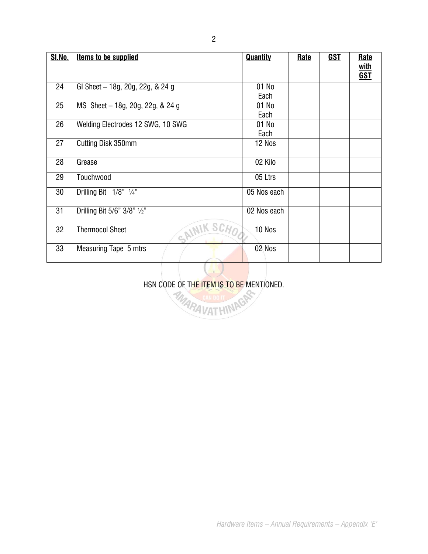| SI.No. | <b>Items to be supplied</b>          | <b>Quantity</b>    | Rate | <u>GST</u> | Rate       |
|--------|--------------------------------------|--------------------|------|------------|------------|
|        |                                      |                    |      |            | with       |
|        |                                      |                    |      |            | <b>GST</b> |
| 24     | GI Sheet - 18g, 20g, 22g, & 24 g     | $\overline{0}1$ No |      |            |            |
|        |                                      | Each               |      |            |            |
| 25     | MS Sheet - 18g, 20g, 22g, & 24 g     | 01 No              |      |            |            |
|        |                                      | Each               |      |            |            |
| 26     | Welding Electrodes 12 SWG, 10 SWG    | 01 No              |      |            |            |
|        |                                      | Each               |      |            |            |
| 27     | Cutting Disk 350mm                   | 12 Nos             |      |            |            |
|        |                                      |                    |      |            |            |
| 28     | Grease                               | 02 Kilo            |      |            |            |
| 29     | Touchwood                            | 05 Ltrs            |      |            |            |
|        |                                      |                    |      |            |            |
| 30     | Drilling Bit $1/8$ " $\frac{1}{4}$ " | 05 Nos each        |      |            |            |
|        |                                      |                    |      |            |            |
| 31     | Drilling Bit 5/6" 3/8" 1/2"          | 02 Nos each        |      |            |            |
|        |                                      |                    |      |            |            |
| 32     | <b>Thermocol Sheet</b><br>$c_p$      | 10 Nos             |      |            |            |
|        |                                      |                    |      |            |            |
| 33     | Measuring Tape 5 mtrs                | 02 Nos             |      |            |            |
|        |                                      |                    |      |            |            |
|        |                                      |                    |      |            |            |

HSN CODE OF THE ITEM IS TO BE MENTIONED.<br>AMARA VAT HINAS

*Hardware Items – Annual Requirements – Appendix 'E'*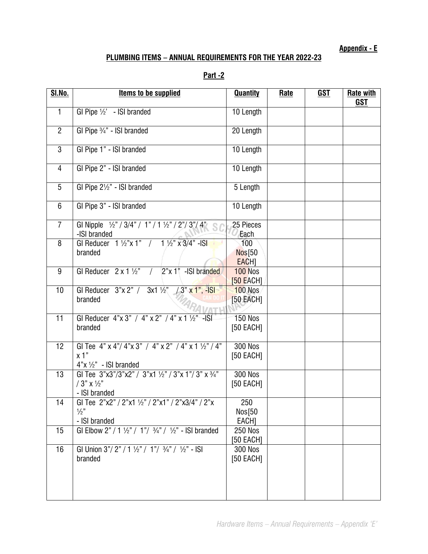**Appendix - E**

## **PLUMBING ITEMS – ANNUAL REQUIREMENTS FOR THE YEAR 2022-23**

|--|

| <b>SI.No.</b>  | <b>Items to be supplied</b>                                                                                                   | <b>Quantity</b>                   | <b>Rate</b> | <u>GST</u> | <b>Rate with</b><br><b>GST</b> |
|----------------|-------------------------------------------------------------------------------------------------------------------------------|-----------------------------------|-------------|------------|--------------------------------|
| $\mathbf{1}$   | GI Pipe $\frac{1}{2}$ - ISI branded                                                                                           | 10 Length                         |             |            |                                |
| $\overline{2}$ | GI Pipe 3/4" - ISI branded                                                                                                    | 20 Length                         |             |            |                                |
| $\mathbf{3}$   | GI Pipe 1" - ISI branded                                                                                                      | 10 Length                         |             |            |                                |
| $\overline{4}$ | GI Pipe 2" - ISI branded                                                                                                      | 10 Length                         |             |            |                                |
| 5              | GI Pipe 21/2" - ISI branded                                                                                                   | 5 Length                          |             |            |                                |
| $6\phantom{1}$ | GI Pipe 3" - ISI branded                                                                                                      | 10 Length                         |             |            |                                |
| $\overline{7}$ | GI Nipple $\frac{1}{2}$ " / 3/4" / 1" / 1 1/2" / 2"/3"/ 4"<br>-ISI branded                                                    | 25 Pieces<br>Each                 |             |            |                                |
| 8              | GI Reducer $1\frac{1}{2}x 1''$ / $1\frac{1}{2}x 3/4''$ -ISI<br>branded                                                        | 100<br><b>Nos</b> [50<br>EACH]    |             |            |                                |
| 9              | GI Reducer $2 \times 1 \frac{1}{2}$ / $2" \times 1"$ - SI branded                                                             | <b>100 Nos</b><br><b>50 EACH1</b> |             |            |                                |
| 10             | GI Reducer $3''x 2''$ / $3x1 \frac{1}{2}''$ / $3''x 1''$ , -ISI<br>branded                                                    | $100$ Nos<br>[50 EACH]            |             |            |                                |
| 11             | GI Reducer $4" \times 3" / 4" \times 2" / 4" \times 1 \frac{1}{2" -1}$ SI<br>branded                                          | <b>150 Nos</b><br>[50 EACH]       |             |            |                                |
| 12             | GI Tee 4" $\times$ 4"/ 4" $\times$ 3" / 4" $\times$ 2" / 4" $\times$ 1 1/2" / 4"<br>x 1"<br>$4"x \frac{1}{2}$ " - ISI branded | <b>300 Nos</b><br>[50 EACH]       |             |            |                                |
| 13             | GI Tee 3"x3"/3"x2" / 3"x1 1/2" / 3"x 1"/ 3" x 3/4"<br>$/3$ " x 1/2"<br>- ISI branded                                          | <b>300 Nos</b><br>[50 EACH]       |             |            |                                |
| 14             | GI Tee 2"x2" / 2"x1 1/2" / 2"x1" / 2"x3/4" / 2"x<br>1/2"<br>- ISI branded                                                     | 250<br>Nos[50<br>EACH]            |             |            |                                |
| 15             | GI Elbow 2" / 1 1/2" / 1" / 3/4" / 1/2" - ISI branded                                                                         | <b>250 Nos</b><br>[50 EACH]       |             |            |                                |
| 16             | GI Union $3''/2''/1!/2''/1''/3/4''/!/2'' -  S $<br>branded                                                                    | <b>300 Nos</b><br>[50 EACH]       |             |            |                                |
|                |                                                                                                                               |                                   |             |            |                                |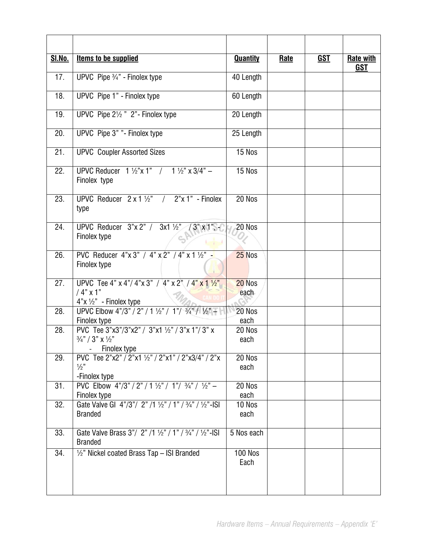| <b>SI.No.</b>     | <b>Items to be supplied</b>                                                                         | <b>Quantity</b>              | <b>Rate</b> | <b>GST</b> | <b>Rate with</b><br><b>GST</b> |
|-------------------|-----------------------------------------------------------------------------------------------------|------------------------------|-------------|------------|--------------------------------|
| 17.               | UPVC Pipe 3/4" - Finolex type                                                                       | 40 Length                    |             |            |                                |
| 18.               | UPVC Pipe 1" - Finolex type                                                                         | 60 Length                    |             |            |                                |
| 19.               | UPVC Pipe 21/2 " 2" - Finolex type                                                                  | 20 Length                    |             |            |                                |
| 20.               | UPVC Pipe 3" "- Finolex type                                                                        | 25 Length                    |             |            |                                |
| 21.               | <b>UPVC Coupler Assorted Sizes</b>                                                                  | 15 Nos                       |             |            |                                |
| 22.               | UPVC Reducer $1\frac{1}{2}x$ 1" / $1\frac{1}{2}x$ x 3/4" -<br>Finolex type                          | 15 Nos                       |             |            |                                |
| 23.               | UPVC Reducer $2 \times 1$ $\frac{1}{2}$ / $2$ " $\times$ 1" - Finolex<br>type                       | 20 Nos                       |             |            |                                |
| 24.               | UPVC Reducer $3''x 2''$ / $3x1 \frac{1}{2}''$ / $3''x 1''$ , -<br>Finolex type                      | 20 Nos                       |             |            |                                |
| 26.               | PVC Reducer $4" \times 3" / 4" \times 2" / 4" \times 1 \frac{1}{2" - 1}$<br>Finolex type            | 25 Nos                       |             |            |                                |
| $\overline{27}$ . | UPVC Tee 4" x 4"/ 4"x 3" / 4" x 2" / 4" x 1 1/2"<br>$/4"$ x 1"<br>$4"x \frac{1}{2}"$ - Finolex type | 20 Nos<br>each               |             |            |                                |
| 28.               | UPVC Elbow 4"/3" / 2" / 1 1/2" / 1"/ 3/4" / 1/2" -<br>Finolex type                                  | 20 Nos<br>each               |             |            |                                |
| 28.               | PVC Tee 3"x3"/3"x2" / 3"x1 1/2" / 3"x 1"/ 3" x<br>$3/4" / 3"$ X $1/2"$<br>- Finolex type            | 20 Nos<br>each               |             |            |                                |
| 29.               | PVC Tee 2"x2" / 2"x1 1/2" / 2"x1" / 2"x3/4" / 2"x<br>$\frac{1}{2}$<br>-Finolex type                 | 20 Nos<br>each               |             |            |                                |
| 31.               | PVC Elbow $4^n/3^n / 2^n / 1 \frac{1}{2^n} / 1^n / \frac{3}{4^n} / \frac{1}{2^n} -$<br>Finolex type | 20 Nos<br>each               |             |            |                                |
| 32.               | Gate Valve GI 4"/3"/ 2" /1 1/2" / 1" / 3/4" / 1/2" - ISI<br><b>Branded</b>                          | 10 Nos<br>each               |             |            |                                |
| 33.               | Gate Valve Brass 3"/ 2" /1 1/2" / 1" / 3/4" / 1/2"-ISI<br><b>Branded</b>                            | 5 Nos each                   |             |            |                                |
| 34.               | 1/2" Nickel coated Brass Tap - ISI Branded                                                          | $\overline{100}$ Nos<br>Each |             |            |                                |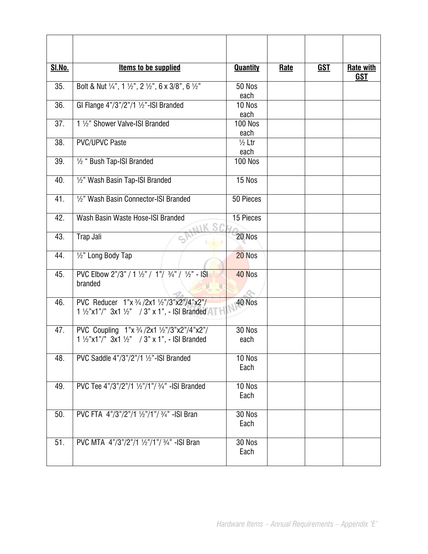| <b>SI.No.</b> | <b>Items to be supplied</b>                                                                                     | <b>Quantity</b>           | Rate | <u>GST</u> | <b>Rate with</b><br><b>GST</b> |
|---------------|-----------------------------------------------------------------------------------------------------------------|---------------------------|------|------------|--------------------------------|
| 35.           | Bolt & Nut $\frac{1}{4}$ ", 1 $\frac{1}{2}$ ", 2 $\frac{1}{2}$ ", 6 x 3/8", 6 $\frac{1}{2}$ "                   | 50 Nos<br>each            |      |            |                                |
| 36.           | GI Flange 4"/3"/2"/1 1/2"-ISI Branded                                                                           | 10 Nos<br>each            |      |            |                                |
| 37.           | 1 1/2" Shower Valve-ISI Branded                                                                                 | <b>100 Nos</b><br>each    |      |            |                                |
| 38.           | <b>PVC/UPVC Paste</b>                                                                                           | $\frac{1}{2}$ Ltr<br>each |      |            |                                |
| 39.           | 1/2 " Bush Tap-ISI Branded                                                                                      | <b>100 Nos</b>            |      |            |                                |
| 40.           | 1/2" Wash Basin Tap-ISI Branded                                                                                 | 15 Nos                    |      |            |                                |
| 41.           | 1/2" Wash Basin Connector-ISI Branded                                                                           | 50 Pieces                 |      |            |                                |
| 42.           | Wash Basin Waste Hose-ISI Branded                                                                               | 15 Pieces                 |      |            |                                |
| 43.           | Trap Jali                                                                                                       | 20 Nos                    |      |            |                                |
| 44.           | 1/2" Long Body Tap                                                                                              | 20 Nos                    |      |            |                                |
| 45.           | PVC Elbow $2^n/3^n$ / 1 $\frac{1}{2}$ / 1 $\frac{1}{2}$ / $\frac{3}{4}$ / $\frac{1}{2}$ - ISI<br>branded        | 40 Nos                    |      |            |                                |
| 46.           | PVC Reducer 1"x 3/4 /2x1 1/2"/3"x2"/4"x2"/<br>1 1/2"x1"/" 3x1 1/2" / 3" x 1", - ISI Branded                     | 40 Nos                    |      |            |                                |
| 47.           | PVC Coupling $1"x \frac{3}{4}/2x1 \frac{1}{2}''/3"x2"/(4"x2"/$<br>1 1/2"x1"/" 3x1 1/2" / 3" x 1", - ISI Branded | 30 Nos<br>each            |      |            |                                |
| 48.           | PVC Saddle 4"/3"/2"/1 1/2"-ISI Branded                                                                          | 10 Nos<br>Each            |      |            |                                |
| 49.           | PVC Tee 4"/3"/2"/1 1/2"/1"/ 3/4" - ISI Branded                                                                  | 10 Nos<br>Each            |      |            |                                |
| 50.           | PVC FTA 4"/3"/2"/1 1/2"/1"/ 3/4" - ISI Bran                                                                     | 30 Nos<br>Each            |      |            |                                |
| 51.           | PVC MTA 4"/3"/2"/1 1/2"/1"/ 3/4" - ISI Bran                                                                     | 30 Nos<br>Each            |      |            |                                |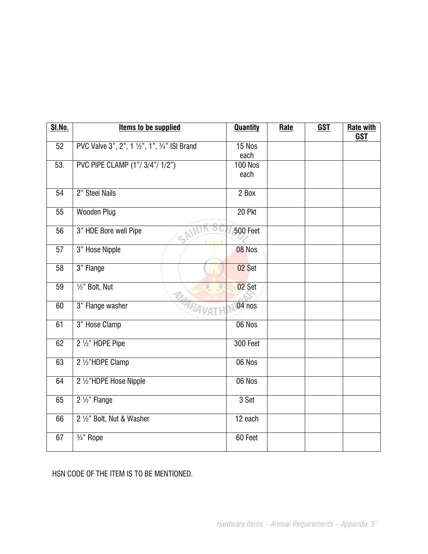| <b>SI.No.</b>   | <b>Items to be supplied</b>                   | <b>Quantity</b>        | Rate | <b>GST</b> | <b>Rate with</b><br><b>GST</b> |
|-----------------|-----------------------------------------------|------------------------|------|------------|--------------------------------|
| 52              | PVC Valve 3", 2", 1 1/2", 1", 3/4" ISI Brand  | 15 Nos<br>each         |      |            |                                |
| 53.             | PVC PIPE CLAMP (1"/3/4"/1/2")                 | <b>100 Nos</b><br>each |      |            |                                |
| 54              | 2" Steel Nails                                | 2 Box                  |      |            |                                |
| 55              | <b>Wooden Plug</b>                            | 20 Pkt                 |      |            |                                |
| $\overline{56}$ | 3" HDE Bore well Pipe<br>$\varsigma^\diamond$ | 500 Feet               |      |            |                                |
| 57              | 3" Hose Nipple                                | 08 Nos                 |      |            |                                |
| $\overline{58}$ | 3" Flange                                     | 02 Set                 |      |            |                                |
| $\overline{59}$ | 1/2" Bolt, Nut                                | 02 Set                 |      |            |                                |
| 60              | MARAVAT<br>3" Flange washer                   | 04 nos                 |      |            |                                |
| 61              | 3" Hose Clamp                                 | 06 Nos                 |      |            |                                |
| 62              | 2 1/2" HDPE Pipe                              | 300 Feet               |      |            |                                |
| 63              | 2 1/2"HDPE Clamp                              | 06 Nos                 |      |            |                                |
| 64              | 2 1/2"HDPE Hose Nipple                        | 06 Nos                 |      |            |                                |
| 65              | 2 1/2" Flange                                 | 3 Set                  |      |            |                                |
| 66              | 2 1/2" Bolt, Nut & Washer                     | 12 each                |      |            |                                |
| 67              | 3/ <sub>4</sub> " Rope                        | 60 Feet                |      |            |                                |

HSN CODE OF THE ITEM IS TO BE MENTIONED.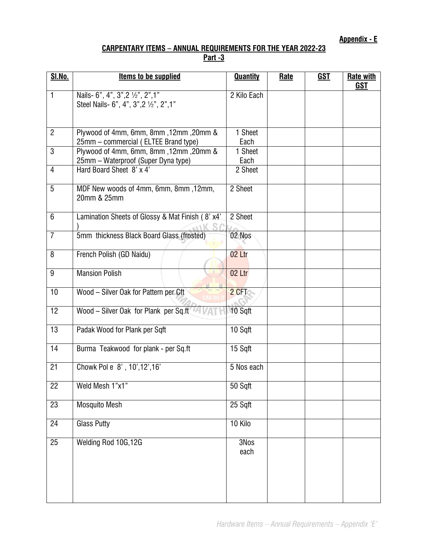**Appendix - E**

## **CARPENTARY ITEMS – ANNUAL REQUIREMENTS FOR THE YEAR 2022-23 Part -3**

| <b>SI.No.</b>   | Items to be supplied                                                           | <b>Quantity</b> | Rate | <u>GST</u> | <b>Rate with</b><br><b>GST</b> |
|-----------------|--------------------------------------------------------------------------------|-----------------|------|------------|--------------------------------|
| 1               | Nails- 6", 4", 3", 2 1/2", 2", 1"<br>Steel Nails- 6", 4", 3", 2 1/2", 2", 1"   | 2 Kilo Each     |      |            |                                |
| $\overline{2}$  | Plywood of 4mm, 6mm, 8mm, 12mm, 20mm &<br>25mm - commercial (ELTEE Brand type) | 1 Sheet<br>Each |      |            |                                |
| 3               | Plywood of 4mm, 6mm, 8mm, 12mm, 20mm &<br>25mm - Waterproof (Super Dyna type)  | 1 Sheet<br>Each |      |            |                                |
| $\overline{4}$  | Hard Board Sheet 8' x 4'                                                       | 2 Sheet         |      |            |                                |
| 5               | MDF New woods of 4mm, 6mm, 8mm, 12mm,<br>20mm & 25mm                           | 2 Sheet         |      |            |                                |
| 6               | Lamination Sheets of Glossy & Mat Finish (8' x4'                               | 2 Sheet         |      |            |                                |
| $\overline{7}$  | 5mm thickness Black Board Glass (frosted)                                      | 02 Nos          |      |            |                                |
| 8               | French Polish (GD Naidu)                                                       | 02 Ltr          |      |            |                                |
| 9               | <b>Mansion Polish</b>                                                          | 02 Ltr          |      |            |                                |
| 10              | Wood - Silver Oak for Pattern per Cft                                          | 2 CFT           |      |            |                                |
| 12              | Wood - Silver Oak for Plank per Sq.ft                                          | 10 Sqft         |      |            |                                |
| $\overline{13}$ | Padak Wood for Plank per Sqft                                                  | 10 Sqft         |      |            |                                |
| 14              | Burma Teakwood for plank - per Sq.ft                                           | 15 Sqft         |      |            |                                |
| 21              | Chowk Pol e 8', 10', 12', 16'                                                  | 5 Nos each      |      |            |                                |
| 22              | Weld Mesh 1"x1"                                                                | 50 Sqft         |      |            |                                |
| $\overline{23}$ | <b>Mosquito Mesh</b>                                                           | 25 Sqft         |      |            |                                |
| 24              | <b>Glass Putty</b>                                                             | 10 Kilo         |      |            |                                |
| 25              | Welding Rod 10G, 12G                                                           | 3Nos<br>each    |      |            |                                |